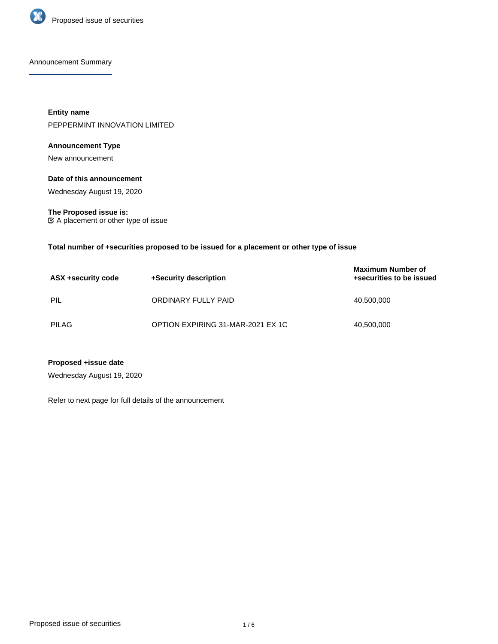

Announcement Summary

**Entity name** PEPPERMINT INNOVATION LIMITED

# **Announcement Type**

New announcement

### **Date of this announcement**

Wednesday August 19, 2020

# **The Proposed issue is:**

A placement or other type of issue

### **Total number of +securities proposed to be issued for a placement or other type of issue**

| ASX +security code | +Security description             | <b>Maximum Number of</b><br>+securities to be issued |
|--------------------|-----------------------------------|------------------------------------------------------|
| PIL                | ORDINARY FULLY PAID               | 40,500,000                                           |
| <b>PILAG</b>       | OPTION EXPIRING 31-MAR-2021 EX 1C | 40,500,000                                           |

# **Proposed +issue date**

Wednesday August 19, 2020

Refer to next page for full details of the announcement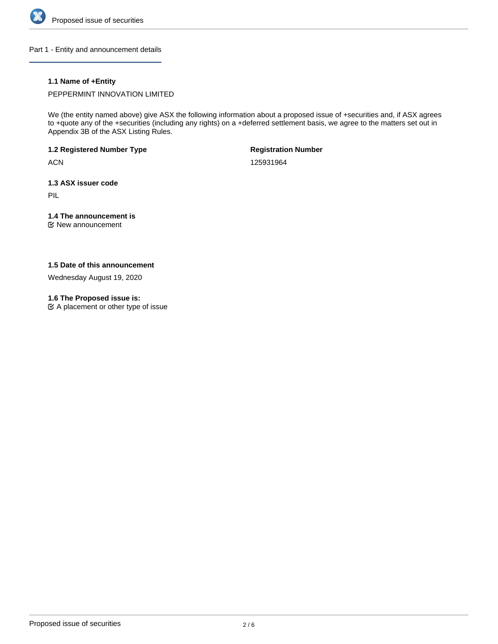

Part 1 - Entity and announcement details

# **1.1 Name of +Entity**

PEPPERMINT INNOVATION LIMITED

We (the entity named above) give ASX the following information about a proposed issue of +securities and, if ASX agrees to +quote any of the +securities (including any rights) on a +deferred settlement basis, we agree to the matters set out in Appendix 3B of the ASX Listing Rules.

**1.2 Registered Number Type**

**ACN** 

**Registration Number**

125931964

**1.3 ASX issuer code**

PIL

# **1.4 The announcement is**

New announcement

### **1.5 Date of this announcement**

Wednesday August 19, 2020

#### **1.6 The Proposed issue is:**

 $\mathfrak{C}$  A placement or other type of issue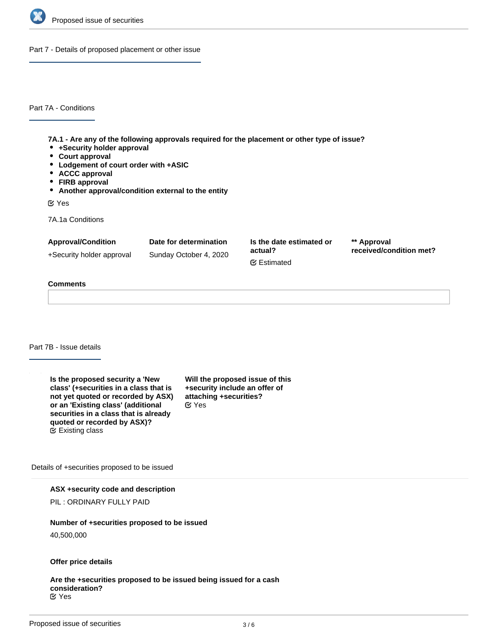

Part 7 - Details of proposed placement or other issue

Part 7A - Conditions

**7A.1 - Are any of the following approvals required for the placement or other type of issue?**

- **+Security holder approval**
- **Court approval**
- **Lodgement of court order with +ASIC**
- **ACCC approval**
- **FIRB approval**
- **Another approval/condition external to the entity**

Yes

7A.1a Conditions

| <b>Approval/Condition</b> | Date for determination | Is the date estimated or<br>actual?<br><b></b> ■ Estimated | ** Approval<br>received/condition met? |
|---------------------------|------------------------|------------------------------------------------------------|----------------------------------------|
| +Security holder approval | Sunday October 4, 2020 |                                                            |                                        |
|                           |                        |                                                            |                                        |

#### **Comments**

#### Part 7B - Issue details

**Is the proposed security a 'New class' (+securities in a class that is not yet quoted or recorded by ASX) or an 'Existing class' (additional securities in a class that is already quoted or recorded by ASX)?** Existing class

**Will the proposed issue of this +security include an offer of attaching +securities?** Yes

Details of +securities proposed to be issued

#### **ASX +security code and description**

PIL : ORDINARY FULLY PAID

#### **Number of +securities proposed to be issued**

40,500,000

#### **Offer price details**

**Are the +securities proposed to be issued being issued for a cash consideration?** Yes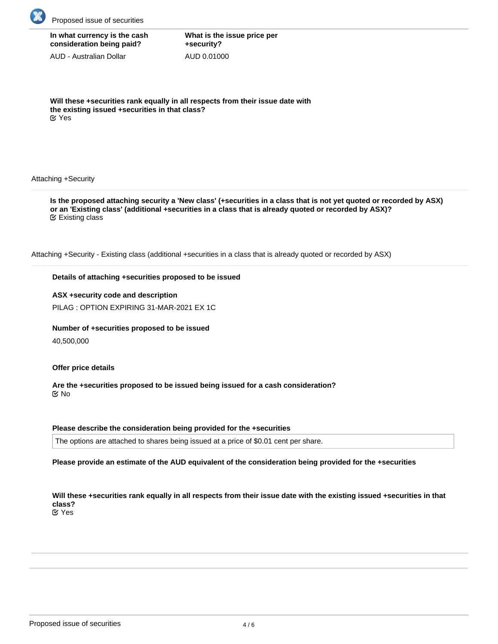

| In what currency is the cash |
|------------------------------|
| consideration being paid?    |

AUD - Australian Dollar

**What is the issue price per +security?** AUD 0.01000

**Will these +securities rank equally in all respects from their issue date with the existing issued +securities in that class?** Yes

Attaching +Security

**Is the proposed attaching security a 'New class' (+securities in a class that is not yet quoted or recorded by ASX) or an 'Existing class' (additional +securities in a class that is already quoted or recorded by ASX)?** Existing class

Attaching +Security - Existing class (additional +securities in a class that is already quoted or recorded by ASX)

# **Details of attaching +securities proposed to be issued**

# **ASX +security code and description**

PILAG : OPTION EXPIRING 31-MAR-2021 EX 1C

# **Number of +securities proposed to be issued**

40,500,000

# **Offer price details**

**Are the +securities proposed to be issued being issued for a cash consideration?** No

# **Please describe the consideration being provided for the +securities**

The options are attached to shares being issued at a price of \$0.01 cent per share.

**Please provide an estimate of the AUD equivalent of the consideration being provided for the +securities**

**Will these +securities rank equally in all respects from their issue date with the existing issued +securities in that class?**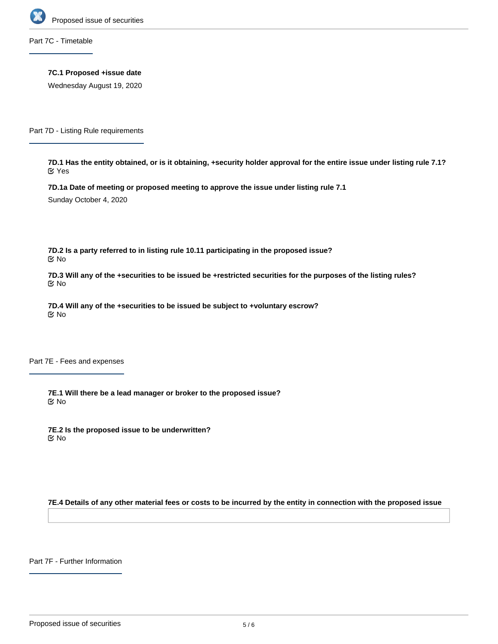

Part 7C - Timetable

**7C.1 Proposed +issue date**

Wednesday August 19, 2020

Part 7D - Listing Rule requirements

**7D.1 Has the entity obtained, or is it obtaining, +security holder approval for the entire issue under listing rule 7.1?** Yes

**7D.1a Date of meeting or proposed meeting to approve the issue under listing rule 7.1**

Sunday October 4, 2020

**7D.2 Is a party referred to in listing rule 10.11 participating in the proposed issue?** No

**7D.3 Will any of the +securities to be issued be +restricted securities for the purposes of the listing rules?** No

**7D.4 Will any of the +securities to be issued be subject to +voluntary escrow?** No

Part 7E - Fees and expenses

**7E.1 Will there be a lead manager or broker to the proposed issue?** No

**7E.2 Is the proposed issue to be underwritten?** No

**7E.4 Details of any other material fees or costs to be incurred by the entity in connection with the proposed issue**

Part 7F - Further Information